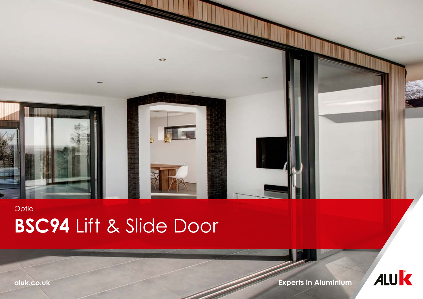

## **BSC94** Lift & Slide Door Optio

**aluk.co.uk Experts in Aluminium**